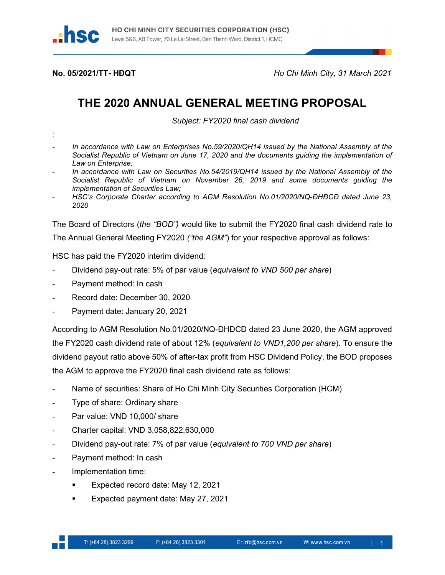

No. 05/2021/TT- HĐQT Ho Chi Minh City, 31 March 2021

## THE 2020 ANNUAL GENERAL MEETING PROPOSAL

Subject: FY2020 final cash dividend

- :
- In accordance with Law on Enterprises No.59/2020/QH14 issued by the National Assembly of the Socialist Republic of Vietnam on June 17, 2020 and the documents guiding the implementation of Law on Enterprise;
- In accordance with Law on Securities No.54/2019/QH14 issued by the National Assembly of the Socialist Republic of Vietnam on November 26, 2019 and some documents guiding the implementation of Securities Law;
- HSC's Corporate Charter according to AGM Resolution No.01/2020/NQ-DHĐCĐ dated June 23, 2020

The Board of Directors (the "BOD") would like to submit the FY2020 final cash dividend rate to The Annual General Meeting FY2020 ("the AGM") for your respective approval as follows:

HSC has paid the FY2020 interim dividend:

- Dividend pay-out rate: 5% of par value (equivalent to VND 500 per share)
- Payment method: In cash
- Record date: December 30, 2020
- Payment date: January 20, 2021

According to AGM Resolution No.01/2020/NQ-ĐHĐCĐ dated 23 June 2020, the AGM approved the FY2020 cash dividend rate of about 12% (equivalent to VND1,200 per share). To ensure the dividend payout ratio above 50% of after-tax profit from HSC Dividend Policy, the BOD proposes the AGM to approve the FY2020 final cash dividend rate as follows:

- Name of securities: Share of Ho Chi Minh City Securities Corporation (HCM)
- Type of share: Ordinary share
- Par value: VND 10,000/ share
- Charter capital: VND 3,058,822,630,000
- Dividend pay-out rate: 7% of par value (equivalent to 700 VND per share)
- Payment method: In cash
- Implementation time:
	- Expected record date: May 12, 2021
	- Expected payment date: May 27, 2021